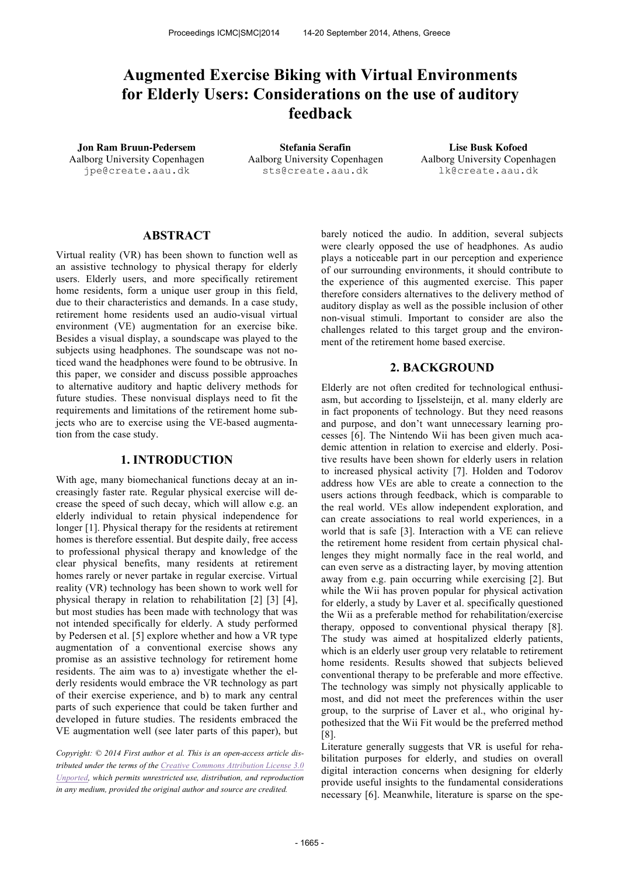# **Augmented Exercise Biking with Virtual Environments for Elderly Users: Considerations on the use of auditory feedback**

**Jon Ram Bruun-Pedersem Stefania Serafin Lise Busk Kofoed** Aalborg University Copenhagen jpe@create.aau.dk

Aalborg University Copenhagen sts@create.aau.dk

Aalborg University Copenhagen lk@create.aau.dk

## **ABSTRACT**

Virtual reality (VR) has been shown to function well as an assistive technology to physical therapy for elderly users. Elderly users, and more specifically retirement home residents, form a unique user group in this field, due to their characteristics and demands. In a case study, retirement home residents used an audio-visual virtual environment (VE) augmentation for an exercise bike. Besides a visual display, a soundscape was played to the subjects using headphones. The soundscape was not noticed wand the headphones were found to be obtrusive. In this paper, we consider and discuss possible approaches to alternative auditory and haptic delivery methods for future studies. These nonvisual displays need to fit the requirements and limitations of the retirement home subjects who are to exercise using the VE-based augmentation from the case study.

#### **1. INTRODUCTION**

With age, many biomechanical functions decay at an increasingly faster rate. Regular physical exercise will decrease the speed of such decay, which will allow e.g. an elderly individual to retain physical independence for longer [1]. Physical therapy for the residents at retirement homes is therefore essential. But despite daily, free access to professional physical therapy and knowledge of the clear physical benefits, many residents at retirement homes rarely or never partake in regular exercise. Virtual reality (VR) technology has been shown to work well for physical therapy in relation to rehabilitation [2] [3] [4], but most studies has been made with technology that was not intended specifically for elderly. A study performed by Pedersen et al. [5] explore whether and how a VR type augmentation of a conventional exercise shows any promise as an assistive technology for retirement home residents. The aim was to a) investigate whether the elderly residents would embrace the VR technology as part of their exercise experience, and b) to mark any central parts of such experience that could be taken further and developed in future studies. The residents embraced the VE augmentation well (see later parts of this paper), but

*Copyright: © 2014 First author et al. This is an open-access article distributed under the terms of the Creative Commons Attribution License 3.0 Unported, which permits unrestricted use, distribution, and reproduction in any medium, provided the original author and source are credited.*

barely noticed the audio. In addition, several subjects were clearly opposed the use of headphones. As audio plays a noticeable part in our perception and experience of our surrounding environments, it should contribute to the experience of this augmented exercise. This paper therefore considers alternatives to the delivery method of auditory display as well as the possible inclusion of other non-visual stimuli. Important to consider are also the challenges related to this target group and the environment of the retirement home based exercise.

#### **2. BACKGROUND**

Elderly are not often credited for technological enthusiasm, but according to Ijsselsteijn, et al. many elderly are in fact proponents of technology. But they need reasons and purpose, and don't want unnecessary learning processes [6]. The Nintendo Wii has been given much academic attention in relation to exercise and elderly. Positive results have been shown for elderly users in relation to increased physical activity [7]. Holden and Todorov address how VEs are able to create a connection to the users actions through feedback, which is comparable to the real world. VEs allow independent exploration, and can create associations to real world experiences, in a world that is safe [3]. Interaction with a VE can relieve the retirement home resident from certain physical challenges they might normally face in the real world, and can even serve as a distracting layer, by moving attention away from e.g. pain occurring while exercising [2]. But while the Wii has proven popular for physical activation for elderly, a study by Laver et al. specifically questioned the Wii as a preferable method for rehabilitation/exercise therapy*,* opposed to conventional physical therapy [8]. The study was aimed at hospitalized elderly patients, which is an elderly user group very relatable to retirement home residents. Results showed that subjects believed conventional therapy to be preferable and more effective. The technology was simply not physically applicable to most, and did not meet the preferences within the user group, to the surprise of Laver et al., who original hypothesized that the Wii Fit would be the preferred method [8].

Literature generally suggests that VR is useful for rehabilitation purposes for elderly, and studies on overall digital interaction concerns when designing for elderly provide useful insights to the fundamental considerations necessary [6]. Meanwhile, literature is sparse on the spe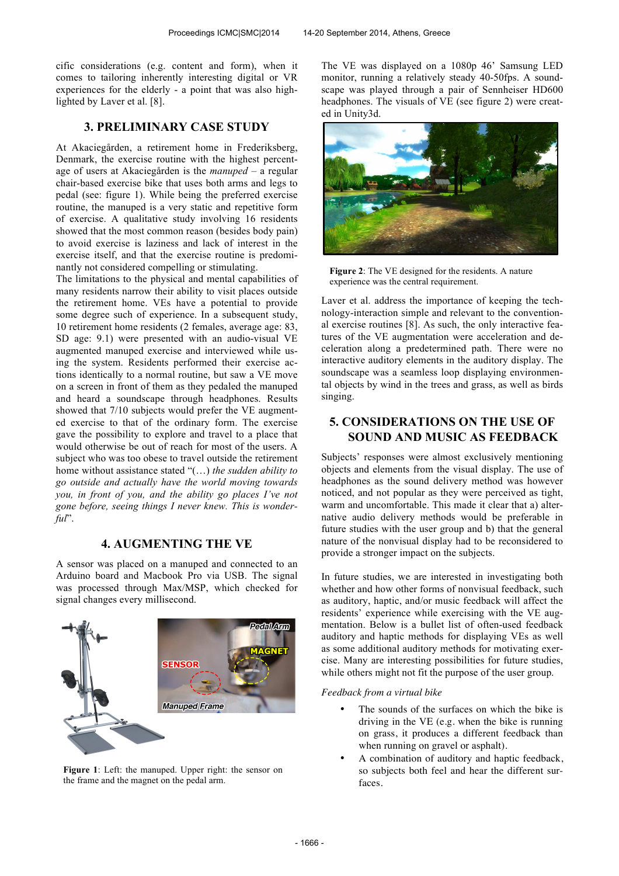cific considerations (e.g. content and form), when it comes to tailoring inherently interesting digital or VR experiences for the elderly - a point that was also highlighted by Laver et al. [8].

## **3. PRELIMINARY CASE STUDY**

At Akaciegården, a retirement home in Frederiksberg, Denmark, the exercise routine with the highest percentage of users at Akaciegården is the *manuped* – a regular chair-based exercise bike that uses both arms and legs to pedal (see: figure 1). While being the preferred exercise routine, the manuped is a very static and repetitive form of exercise. A qualitative study involving 16 residents showed that the most common reason (besides body pain) to avoid exercise is laziness and lack of interest in the exercise itself, and that the exercise routine is predominantly not considered compelling or stimulating.

The limitations to the physical and mental capabilities of many residents narrow their ability to visit places outside the retirement home. VEs have a potential to provide some degree such of experience. In a subsequent study, 10 retirement home residents (2 females, average age: 83, SD age: 9.1) were presented with an audio-visual VE augmented manuped exercise and interviewed while using the system. Residents performed their exercise actions identically to a normal routine, but saw a VE move on a screen in front of them as they pedaled the manuped and heard a soundscape through headphones. Results showed that 7/10 subjects would prefer the VE augmented exercise to that of the ordinary form. The exercise gave the possibility to explore and travel to a place that would otherwise be out of reach for most of the users. A subject who was too obese to travel outside the retirement home without assistance stated "(…) *the sudden ability to go outside and actually have the world moving towards you, in front of you, and the ability go places I've not gone before, seeing things I never knew. This is wonderful*".

# **4. AUGMENTING THE VE**

A sensor was placed on a manuped and connected to an Arduino board and Macbook Pro via USB. The signal was processed through Max/MSP, which checked for signal changes every millisecond.



**Figure 1**: Left: the manuped. Upper right: the sensor on the frame and the magnet on the pedal arm.

The VE was displayed on a 1080p 46' Samsung LED monitor, running a relatively steady 40-50fps. A soundscape was played through a pair of Sennheiser HD600 headphones. The visuals of VE (see figure 2) were created in Unity3d.



**Figure 2**: The VE designed for the residents. A nature experience was the central requirement.

Laver et al. address the importance of keeping the technology-interaction simple and relevant to the conventional exercise routines [8]. As such, the only interactive features of the VE augmentation were acceleration and deceleration along a predetermined path. There were no interactive auditory elements in the auditory display. The soundscape was a seamless loop displaying environmental objects by wind in the trees and grass, as well as birds singing.

# **5. CONSIDERATIONS ON THE USE OF SOUND AND MUSIC AS FEEDBACK**

Subjects' responses were almost exclusively mentioning objects and elements from the visual display. The use of headphones as the sound delivery method was however noticed, and not popular as they were perceived as tight, warm and uncomfortable. This made it clear that a) alternative audio delivery methods would be preferable in future studies with the user group and b) that the general nature of the nonvisual display had to be reconsidered to provide a stronger impact on the subjects.

In future studies, we are interested in investigating both whether and how other forms of nonvisual feedback, such as auditory, haptic, and/or music feedback will affect the residents' experience while exercising with the VE augmentation. Below is a bullet list of often-used feedback auditory and haptic methods for displaying VEs as well as some additional auditory methods for motivating exercise. Many are interesting possibilities for future studies, while others might not fit the purpose of the user group.

*Feedback from a virtual bike*

- The sounds of the surfaces on which the bike is driving in the VE (e.g. when the bike is running on grass, it produces a different feedback than when running on gravel or asphalt).
- A combination of auditory and haptic feedback, so subjects both feel and hear the different surfaces.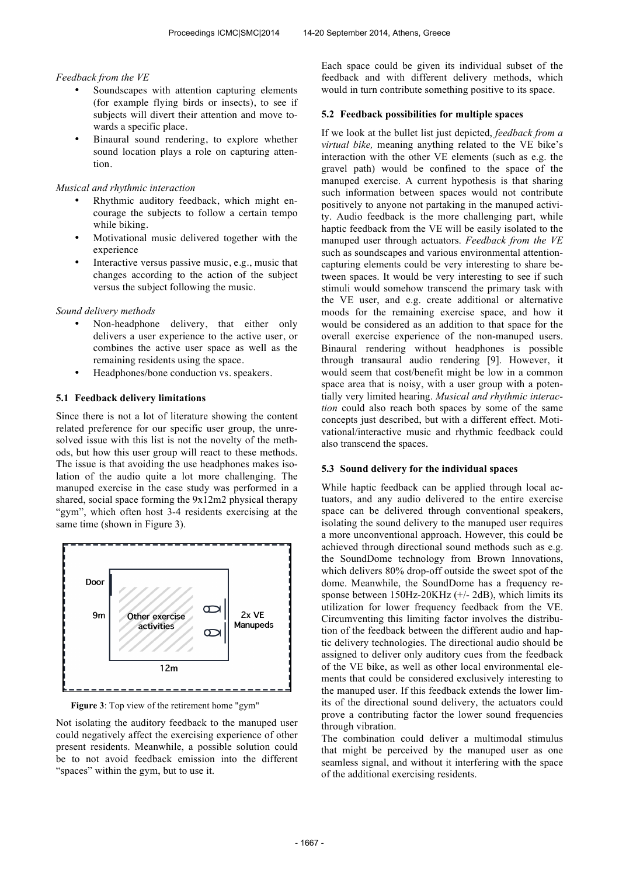#### *Feedback from the VE*

- Soundscapes with attention capturing elements (for example flying birds or insects), to see if subjects will divert their attention and move towards a specific place.
- Binaural sound rendering, to explore whether sound location plays a role on capturing attention.

## *Musical and rhythmic interaction*

- Rhythmic auditory feedback, which might encourage the subjects to follow a certain tempo while biking.
- Motivational music delivered together with the experience
- Interactive versus passive music, e.g., music that changes according to the action of the subject versus the subject following the music.

#### *Sound delivery methods*

- Non-headphone delivery, that either only delivers a user experience to the active user, or combines the active user space as well as the remaining residents using the space.
- Headphones/bone conduction vs. speakers.

## **5.1 Feedback delivery limitations**

Since there is not a lot of literature showing the content related preference for our specific user group, the unresolved issue with this list is not the novelty of the methods, but how this user group will react to these methods. The issue is that avoiding the use headphones makes isolation of the audio quite a lot more challenging. The manuped exercise in the case study was performed in a shared, social space forming the 9x12m2 physical therapy "gym", which often host 3-4 residents exercising at the same time (shown in Figure 3).



**Figure 3**: Top view of the retirement home "gym"

Not isolating the auditory feedback to the manuped user could negatively affect the exercising experience of other present residents. Meanwhile, a possible solution could be to not avoid feedback emission into the different "spaces" within the gym, but to use it.

Each space could be given its individual subset of the feedback and with different delivery methods, which would in turn contribute something positive to its space.

#### **5.2 Feedback possibilities for multiple spaces**

If we look at the bullet list just depicted, *feedback from a virtual bike,* meaning anything related to the VE bike's interaction with the other VE elements (such as e.g. the gravel path) would be confined to the space of the manuped exercise. A current hypothesis is that sharing such information between spaces would not contribute positively to anyone not partaking in the manuped activity. Audio feedback is the more challenging part, while haptic feedback from the VE will be easily isolated to the manuped user through actuators. *Feedback from the VE* such as soundscapes and various environmental attentioncapturing elements could be very interesting to share between spaces. It would be very interesting to see if such stimuli would somehow transcend the primary task with the VE user, and e.g. create additional or alternative moods for the remaining exercise space, and how it would be considered as an addition to that space for the overall exercise experience of the non-manuped users. Binaural rendering without headphones is possible through transaural audio rendering [9]. However, it would seem that cost/benefit might be low in a common space area that is noisy, with a user group with a potentially very limited hearing. *Musical and rhythmic interaction* could also reach both spaces by some of the same concepts just described, but with a different effect. Motivational/interactive music and rhythmic feedback could also transcend the spaces.

#### **5.3 Sound delivery for the individual spaces**

While haptic feedback can be applied through local actuators, and any audio delivered to the entire exercise space can be delivered through conventional speakers, isolating the sound delivery to the manuped user requires a more unconventional approach. However, this could be achieved through directional sound methods such as e.g. the SoundDome technology from Brown Innovations, which delivers 80% drop-off outside the sweet spot of the dome. Meanwhile, the SoundDome has a frequency response between  $150Hz-20KHz$  (+/- 2dB), which limits its utilization for lower frequency feedback from the VE. Circumventing this limiting factor involves the distribution of the feedback between the different audio and haptic delivery technologies. The directional audio should be assigned to deliver only auditory cues from the feedback of the VE bike, as well as other local environmental elements that could be considered exclusively interesting to the manuped user. If this feedback extends the lower limits of the directional sound delivery, the actuators could prove a contributing factor the lower sound frequencies through vibration.

The combination could deliver a multimodal stimulus that might be perceived by the manuped user as one seamless signal, and without it interfering with the space of the additional exercising residents.